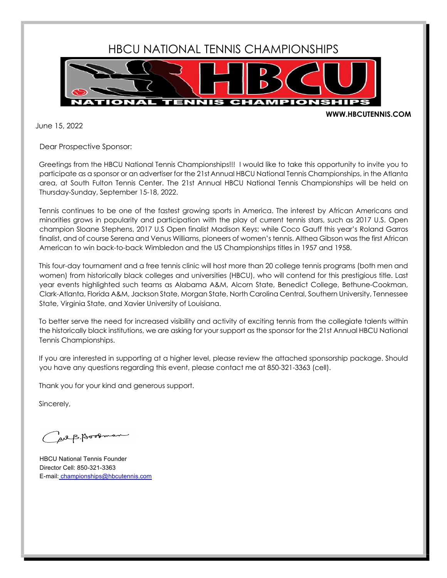

## **WWW.HBCUTENNIS.COM**

June 15, 2022

Dear Prospective Sponsor:

Greetings from the HBCU National Tennis Championships!!! I would like to take this opportunity to invite you to participate as a sponsor or an advertiser for the 21stAnnual HBCU National Tennis Championships, in the Atlanta area, at South Fulton Tennis Center. The 21st Annual HBCU National Tennis Championships will be held on Thursday-Sunday, September 15-18, 2022.

Tennis continues to be one of the fastest growing sports in America. The interest by African Americans and minorities grows in popularity and participation with the play of current tennis stars, such as 2017 U.S. Open champion Sloane Stephens, 2017 U.S Open finalist Madison Keys; while Coco Gauff this year's Roland Garros finalist, and of course Serena and Venus Williams, pioneers of women's tennis. Althea Gibson was the first African American to win back-to-back Wimbledon and the US Championships titles in 1957 and 1958.

This four-day tournament and a free tennis clinic will host more than 20 college tennis programs (both men and women) from historically black colleges and universities (HBCU), who will contend for this prestigious title. Last year events highlighted such teams as Alabama A&M, Alcorn State, Benedict College, Bethune-Cookman, Clark-Atlanta, Florida A&M, Jackson State, Morgan State, North Carolina Central, Southern University, Tennessee State, Virginia State, and Xavier University of Louisiana.

To better serve the need for increased visibility and activity of exciting tennis from the collegiate talents within the historically black institutions, we are asking for your support as the sponsor for the 21st Annual HBCU National Tennis Championships.

If you are interested in supporting at a higher level, please review the attached sponsorship package. Should you have any questions regarding this event, please contact me at 850-321-3363 (cell).

Thank you for your kind and generous support.

Sincerely,

al B. Booom

HBCU National Tennis Founder Director Cell: 850-321-3363 E-mail: championships@hbcutennis.com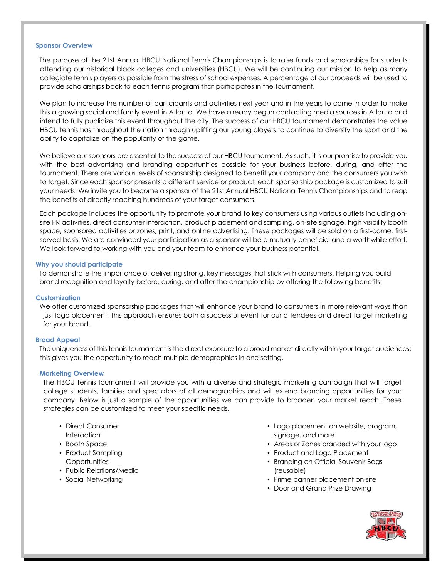#### **Sponsor Overview**

The purpose of the 21st Annual HBCU National Tennis Championships is to raise funds and scholarships for students attending our historical black colleges and universities (HBCU). We will be continuing our mission to help as many collegiate tennis players as possible from the stress of school expenses. A percentage of our proceeds will be used to provide scholarships back to each tennis program that participates in the tournament.

We plan to increase the number of participants and activities next year and in the years to come in order to make this a growing social and family event in Atlanta. We have already begun contacting media sources in Atlanta and intend to fully publicize this event throughout the city. The success of our HBCU tournament demonstrates the value HBCU tennis has throughout the nation through uplifting our young players to continue to diversify the sport and the ability to capitalize on the popularity of the game.

We believe our sponsors are essential to the success of our HBCU tournament. As such, it is our promise to provide you with the best advertising and branding opportunities possible for your business before, during, and after the tournament. There are various levels of sponsorship designed to benefit your company and the consumers you wish to target. Since each sponsor presents a different service or product, each sponsorship package is customized to suit your needs. We invite you to become a sponsor of the 21st Annual HBCU National Tennis Championships and to reap the benefits of directly reaching hundreds of your target consumers.

Each package includes the opportunity to promote your brand to key consumers using various outlets including onsite PR activities, direct consumer interaction, product placement and sampling, on-site signage, high visibility booth space, sponsored activities or zones, print, and online advertising. These packages will be sold on a first-come, firstserved basis. We are convinced your participation as a sponsor will be a mutually beneficial and a worthwhile effort. We look forward to working with you and your team to enhance your business potential.

### **Why you should participate**

To demonstrate the importance of delivering strong, key messages that stick with consumers. Helping you build brand recognition and loyalty before, during, and after the championship by offering the following benefits:

## **Customization**

We offer customized sponsorship packages that will enhance your brand to consumers in more relevant ways than just logo placement. This approach ensures both a successful event for our attendees and direct target marketing for your brand.

### **Broad Appeal**

The uniqueness of this tennis tournament is the direct exposure to a broad market directly within your target audiences; this gives you the opportunity to reach multiple demographics in one setting.

### **Marketing Overview**

The HBCU Tennis tournament will provide you with a diverse and strategic marketing campaign that will target college students, families and spectators of all demographics and will extend branding opportunities for your company. Below is just a sample of the opportunities we can provide to broaden your market reach. These strategies can be customized to meet your specific needs.

- Direct Consumer **Interaction**
- Booth Space
- Product Sampling **Opportunities**
- Public Relations/Media
- Social Networking
- Logo placement on website, program, signage, and more
- Areas or Zones branded with your logo
- Product and Logo Placement
- Branding on Official Souvenir Bags (reusable)
- Prime banner placement on-site
- Door and Grand Prize Drawing